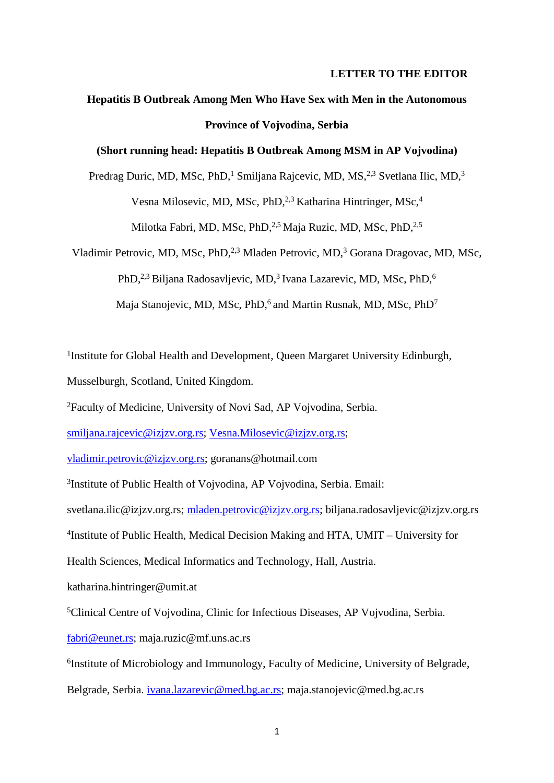#### **LETTER TO THE EDITOR**

# **Hepatitis B Outbreak Among Men Who Have Sex with Men in the Autonomous Province of Vojvodina, Serbia**

### **(Short running head: Hepatitis B Outbreak Among MSM in AP Vojvodina)**

Predrag Duric, MD, MSc, PhD,<sup>1</sup> Smiljana Rajcevic, MD, MS,<sup>2,3</sup> Svetlana Ilic, MD,<sup>3</sup> Vesna Milosevic, MD, MSc, PhD, <sup>2,3</sup> Katharina Hintringer, MSc, <sup>4</sup> Milotka Fabri, MD, MSc, PhD, <sup>2,5</sup> Maja Ruzic, MD, MSc, PhD, <sup>2,5</sup>

Vladimir Petrovic, MD, MSc, PhD,<sup>2,3</sup> Mladen Petrovic, MD,<sup>3</sup> Gorana Dragovac, MD, MSc, PhD,<sup>2,3</sup> Biljana Radosavljevic, MD,<sup>3</sup> Ivana Lazarevic, MD, MSc, PhD,<sup>6</sup> Maja Stanojevic, MD, MSc, PhD,<sup>6</sup> and Martin Rusnak, MD, MSc, PhD<sup>7</sup>

<sup>1</sup>Institute for Global Health and Development, Queen Margaret University Edinburgh, Musselburgh, Scotland, United Kingdom.

<sup>2</sup>Faculty of Medicine, University of Novi Sad, AP Vojvodina, Serbia.

[smiljana.rajcevic@izjzv.org.rs;](mailto:smiljana.rajcevic@izjzv.org.rs) [Vesna.Milosevic@izjzv.org.rs;](mailto:Vesna.Milosevic@izjzv.org.rs)

[vladimir.petrovic@izjzv.org.rs;](mailto:vladimir.petrovic@izjzv.org.rs) goranans@hotmail.com

3 Institute of Public Health of Vojvodina, AP Vojvodina, Serbia. Email:

svetlana.ilic@izjzv.org.rs; [mladen.petrovic@izjzv.org.rs;](mailto:mladen.petrovic@izjzv.org.rs) biljana.radosavljevic@izjzv.org.rs

4 Institute of Public Health, Medical Decision Making and HTA, UMIT – University for

Health Sciences, Medical Informatics and Technology, Hall, Austria.

katharina.hintringer@umit.at

<sup>5</sup>Clinical Centre of Vojvodina, Clinic for Infectious Diseases, AP Vojvodina, Serbia.

[fabri@eunet.rs;](mailto:nsinfekt@eunet.rs) maja.ruzic@mf.uns.ac.rs

<sup>6</sup>Institute of Microbiology and Immunology, Faculty of Medicine, University of Belgrade,

Belgrade, Serbia. [ivana.lazarevic@med.bg.ac.rs;](mailto:ivana.lazarevic@med.bg.ac.rs) maja.stanojevic@med.bg.ac.rs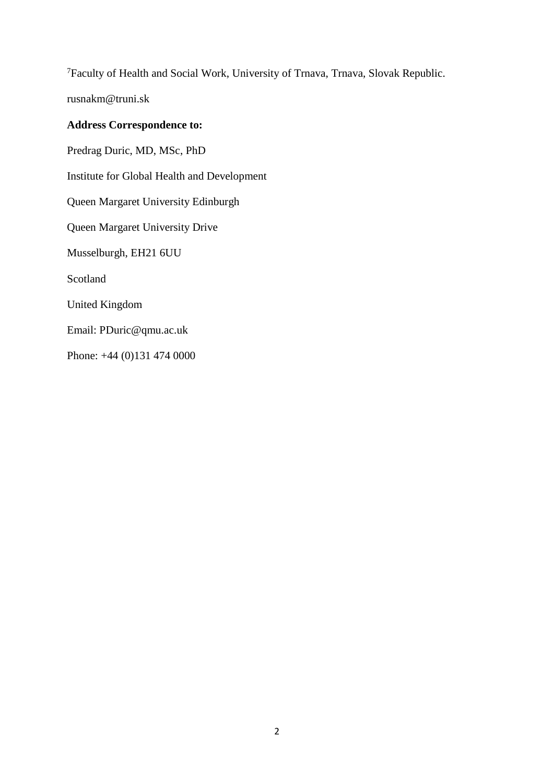<sup>7</sup>Faculty of Health and Social Work, University of Trnava, Trnava, Slovak Republic.

rusnakm@truni.sk

## **Address Correspondence to:**

Predrag Duric, MD, MSc, PhD Institute for Global Health and Development Queen Margaret University Edinburgh Queen Margaret University Drive Musselburgh, EH21 6UU Scotland United Kingdom Email: PDuric@qmu.ac.uk Phone: +44 (0)131 474 0000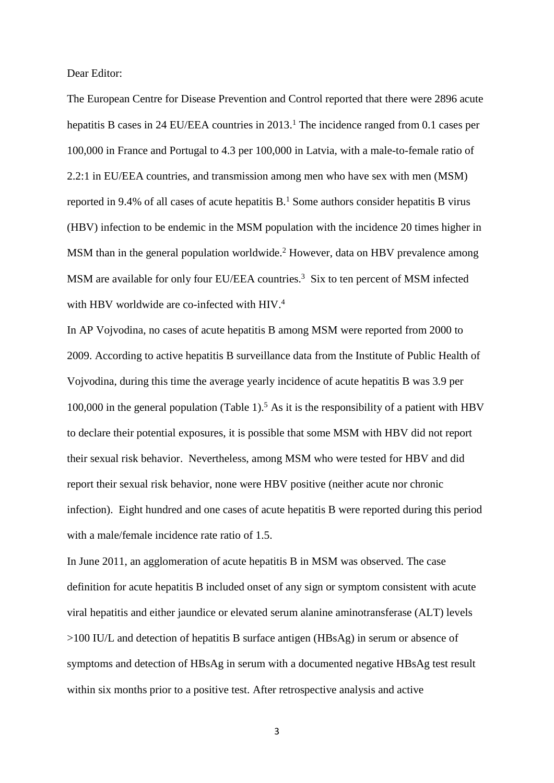Dear Editor:

The European Centre for Disease Prevention and Control reported that there were 2896 acute hepatitis B cases in 24 EU/EEA countries in 2013.<sup>1</sup> The incidence ranged from 0.1 cases per 100,000 in France and Portugal to 4.3 per 100,000 in Latvia, with a male-to-female ratio of 2.2:1 in EU/EEA countries, and transmission among men who have sex with men (MSM) reported in 9.4% of all cases of acute hepatitis B. <sup>1</sup> Some authors consider hepatitis B virus (HBV) infection to be endemic in the MSM population with the incidence 20 times higher in MSM than in the general population worldwide. <sup>2</sup> However, data on HBV prevalence among MSM are available for only four EU/EEA countries. 3 Six to ten percent of MSM infected with HBV worldwide are co-infected with HIV.<sup>4</sup>

In AP Vojvodina, no cases of acute hepatitis B among MSM were reported from 2000 to 2009. According to active hepatitis B surveillance data from the Institute of Public Health of Vojvodina, during this time the average yearly incidence of acute hepatitis B was 3.9 per 100,000 in the general population (Table 1).<sup>5</sup> As it is the responsibility of a patient with HBV to declare their potential exposures, it is possible that some MSM with HBV did not report their sexual risk behavior. Nevertheless, among MSM who were tested for HBV and did report their sexual risk behavior, none were HBV positive (neither acute nor chronic infection). Eight hundred and one cases of acute hepatitis B were reported during this period with a male/female incidence rate ratio of 1.5.

In June 2011, an agglomeration of acute hepatitis B in MSM was observed. The case definition for acute hepatitis B included onset of any sign or symptom consistent with acute viral hepatitis and either jaundice or elevated serum alanine aminotransferase (ALT) levels >100 IU/L and detection of hepatitis B surface antigen (HBsAg) in serum or absence of symptoms and detection of HBsAg in serum with a documented negative HBsAg test result within six months prior to a positive test. After retrospective analysis and active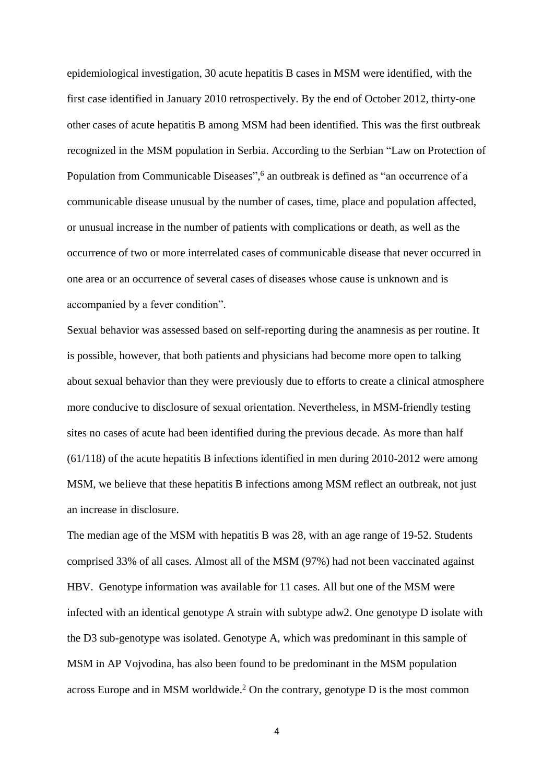epidemiological investigation, 30 acute hepatitis B cases in MSM were identified, with the first case identified in January 2010 retrospectively. By the end of October 2012, thirty-one other cases of acute hepatitis B among MSM had been identified. This was the first outbreak recognized in the MSM population in Serbia. According to the Serbian "Law on Protection of Population from Communicable Diseases", <sup>6</sup> an outbreak is defined as "an occurrence of a communicable disease unusual by the number of cases, time, place and population affected, or unusual increase in the number of patients with complications or death, as well as the occurrence of two or more interrelated cases of communicable disease that never occurred in one area or an occurrence of several cases of diseases whose cause is unknown and is accompanied by a fever condition".

Sexual behavior was assessed based on self-reporting during the anamnesis as per routine. It is possible, however, that both patients and physicians had become more open to talking about sexual behavior than they were previously due to efforts to create a clinical atmosphere more conducive to disclosure of sexual orientation. Nevertheless, in MSM-friendly testing sites no cases of acute had been identified during the previous decade. As more than half (61/118) of the acute hepatitis B infections identified in men during 2010-2012 were among MSM, we believe that these hepatitis B infections among MSM reflect an outbreak, not just an increase in disclosure.

The median age of the MSM with hepatitis B was 28, with an age range of 19-52. Students comprised 33% of all cases. Almost all of the MSM (97%) had not been vaccinated against HBV. Genotype information was available for 11 cases. All but one of the MSM were infected with an identical genotype A strain with subtype adw2. One genotype D isolate with the D3 sub-genotype was isolated. Genotype A, which was predominant in this sample of MSM in AP Vojvodina, has also been found to be predominant in the MSM population across Europe and in MSM worldwide. <sup>2</sup> On the contrary, genotype D is the most common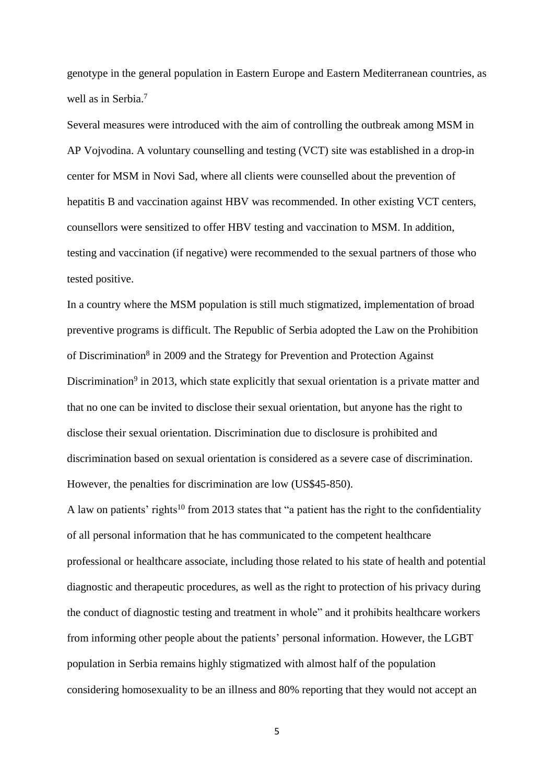genotype in the general population in Eastern Europe and Eastern Mediterranean countries, as well as in Serbia. 7

Several measures were introduced with the aim of controlling the outbreak among MSM in AP Vojvodina. A voluntary counselling and testing (VCT) site was established in a drop-in center for MSM in Novi Sad, where all clients were counselled about the prevention of hepatitis B and vaccination against HBV was recommended. In other existing VCT centers, counsellors were sensitized to offer HBV testing and vaccination to MSM. In addition, testing and vaccination (if negative) were recommended to the sexual partners of those who tested positive.

In a country where the MSM population is still much stigmatized, implementation of broad preventive programs is difficult. The Republic of Serbia adopted the Law on the Prohibition of Discrimination<sup>8</sup> in 2009 and the Strategy for Prevention and Protection Against Discrimination<sup>9</sup> in 2013, which state explicitly that sexual orientation is a private matter and that no one can be invited to disclose their sexual orientation, but anyone has the right to disclose their sexual orientation. Discrimination due to disclosure is prohibited and discrimination based on sexual orientation is considered as a severe case of discrimination. However, the penalties for discrimination are low (US\$45-850).

A law on patients' rights<sup>10</sup> from 2013 states that "a patient has the right to the confidentiality of all personal information that he has communicated to the competent healthcare professional or healthcare associate, including those related to his state of health and potential diagnostic and therapeutic procedures, as well as the right to protection of his privacy during the conduct of diagnostic testing and treatment in whole" and it prohibits healthcare workers from informing other people about the patients' personal information. However, the LGBT population in Serbia remains highly stigmatized with almost half of the population considering homosexuality to be an illness and 80% reporting that they would not accept an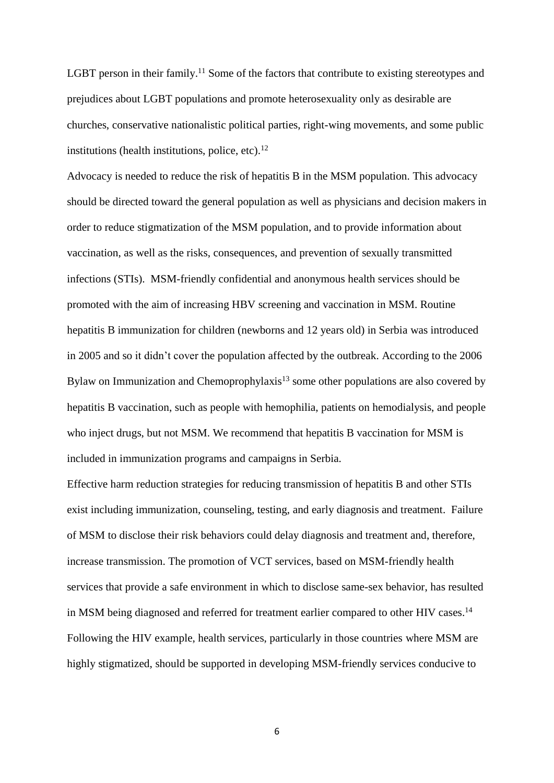LGBT person in their family.<sup>11</sup> Some of the factors that contribute to existing stereotypes and prejudices about LGBT populations and promote heterosexuality only as desirable are churches, conservative nationalistic political parties, right-wing movements, and some public institutions (health institutions, police, etc). 12

Advocacy is needed to reduce the risk of hepatitis B in the MSM population. This advocacy should be directed toward the general population as well as physicians and decision makers in order to reduce stigmatization of the MSM population, and to provide information about vaccination, as well as the risks, consequences, and prevention of sexually transmitted infections (STIs). MSM-friendly confidential and anonymous health services should be promoted with the aim of increasing HBV screening and vaccination in MSM. Routine hepatitis B immunization for children (newborns and 12 years old) in Serbia was introduced in 2005 and so it didn't cover the population affected by the outbreak. According to the 2006 Bylaw on Immunization and Chemoprophylaxis<sup>13</sup> some other populations are also covered by hepatitis B vaccination, such as people with hemophilia, patients on hemodialysis, and people who inject drugs, but not MSM. We recommend that hepatitis B vaccination for MSM is included in immunization programs and campaigns in Serbia.

Effective harm reduction strategies for reducing transmission of hepatitis B and other STIs exist including immunization, counseling, testing, and early diagnosis and treatment. Failure of MSM to disclose their risk behaviors could delay diagnosis and treatment and, therefore, increase transmission. The promotion of VCT services, based on MSM-friendly health services that provide a safe environment in which to disclose same-sex behavior, has resulted in MSM being diagnosed and referred for treatment earlier compared to other HIV cases.<sup>14</sup> Following the HIV example, health services, particularly in those countries where MSM are highly stigmatized, should be supported in developing MSM-friendly services conducive to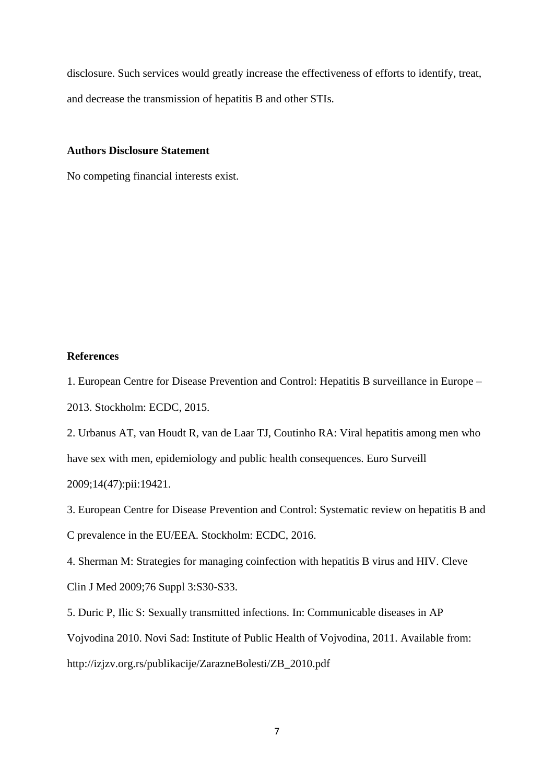disclosure. Such services would greatly increase the effectiveness of efforts to identify, treat, and decrease the transmission of hepatitis B and other STIs.

#### **Authors Disclosure Statement**

No competing financial interests exist.

## **References**

1. European Centre for Disease Prevention and Control: Hepatitis B surveillance in Europe – 2013. Stockholm: ECDC, 2015.

2. Urbanus AT, van Houdt R, van de Laar TJ, Coutinho RA: Viral hepatitis among men who have sex with men, epidemiology and public health consequences. Euro Surveill 2009;14(47):pii:19421.

3. European Centre for Disease Prevention and Control: Systematic review on hepatitis B and C prevalence in the EU/EEA. Stockholm: ECDC, 2016.

4. Sherman M: Strategies for managing coinfection with hepatitis B virus and HIV. Cleve Clin J Med 2009;76 Suppl 3:S30-S33.

5. Duric P, Ilic S: Sexually transmitted infections. In: Communicable diseases in AP Vojvodina 2010. Novi Sad: Institute of Public Health of Vojvodina, 2011. Available from: http://izjzv.org.rs/publikacije/ZarazneBolesti/ZB\_2010.pdf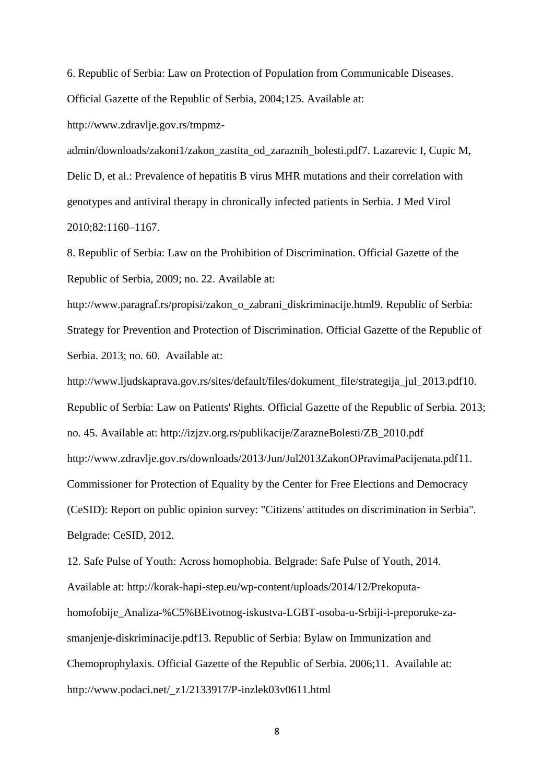6. Republic of Serbia: Law on Protection of Population from Communicable Diseases. Official Gazette of the Republic of Serbia, 2004;125. Available at:

http://www.zdravlje.gov.rs/tmpmz-

admin/downloads/zakoni1/zakon\_zastita\_od\_zaraznih\_bolesti.pdf7. Lazarevic I, Cupic M, Delic D, et al.: Prevalence of hepatitis B virus MHR mutations and their correlation with genotypes and antiviral therapy in chronically infected patients in Serbia. J Med Virol 2010;82:1160–1167.

8. Republic of Serbia: Law on the Prohibition of Discrimination. Official Gazette of the Republic of Serbia, 2009; no. 22. Available at:

http://www.paragraf.rs/propisi/zakon\_o\_zabrani\_diskriminacije.html9. Republic of Serbia: Strategy for Prevention and Protection of Discrimination. Official Gazette of the Republic of Serbia. 2013; no. 60. Available at:

http://www.ljudskaprava.gov.rs/sites/default/files/dokument\_file/strategija\_jul\_2013.pdf10. Republic of Serbia: Law on Patients' Rights. Official Gazette of the Republic of Serbia. 2013; no. 45. Available at: http://izjzv.org.rs/publikacije/ZarazneBolesti/ZB\_2010.pdf http://www.zdravlje.gov.rs/downloads/2013/Jun/Jul2013ZakonOPravimaPacijenata.pdf11. Commissioner for Protection of Equality by the Center for Free Elections and Democracy (CeSID): Report on public opinion survey: "Citizens' attitudes on discrimination in Serbia". Belgrade: CeSID, 2012.

12. Safe Pulse of Youth: Across homophobia. Belgrade: Safe Pulse of Youth, 2014. Available at: http://korak-hapi-step.eu/wp-content/uploads/2014/12/Prekoputahomofobije\_Analiza-%C5%BEivotnog-iskustva-LGBT-osoba-u-Srbiji-i-preporuke-zasmanjenje-diskriminacije.pdf13. Republic of Serbia: Bylaw on Immunization and Chemoprophylaxis. Official Gazette of the Republic of Serbia. 2006;11. Available at: http://www.podaci.net/\_z1/2133917/P-inzlek03v0611.html